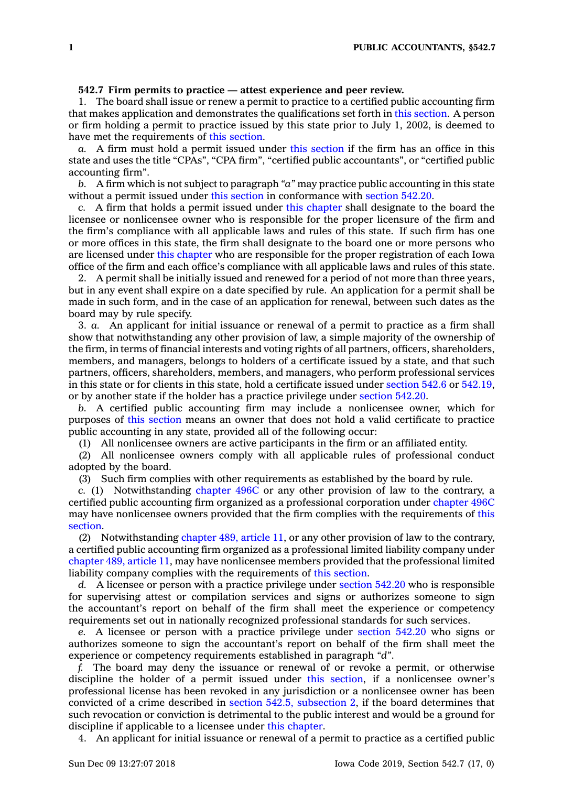## **542.7 Firm permits to practice — attest experience and peer review.**

1. The board shall issue or renew <sup>a</sup> permit to practice to <sup>a</sup> certified public accounting firm that makes application and demonstrates the qualifications set forth in this [section](https://www.legis.iowa.gov/docs/code/542.7.pdf). A person or firm holding <sup>a</sup> permit to practice issued by this state prior to July 1, 2002, is deemed to have met the requirements of this [section](https://www.legis.iowa.gov/docs/code/542.7.pdf).

*a.* A firm must hold <sup>a</sup> permit issued under this [section](https://www.legis.iowa.gov/docs/code/542.7.pdf) if the firm has an office in this state and uses the title "CPAs", "CPA firm", "certified public accountants", or "certified public accounting firm".

*b.* A firm which is not subject to paragraph *"a"* may practice public accounting in this state without <sup>a</sup> permit issued under this [section](https://www.legis.iowa.gov/docs/code/542.7.pdf) in conformance with [section](https://www.legis.iowa.gov/docs/code/542.20.pdf) 542.20.

*c.* A firm that holds <sup>a</sup> permit issued under this [chapter](https://www.legis.iowa.gov/docs/code//542.pdf) shall designate to the board the licensee or nonlicensee owner who is responsible for the proper licensure of the firm and the firm's compliance with all applicable laws and rules of this state. If such firm has one or more offices in this state, the firm shall designate to the board one or more persons who are licensed under this [chapter](https://www.legis.iowa.gov/docs/code//542.pdf) who are responsible for the proper registration of each Iowa office of the firm and each office's compliance with all applicable laws and rules of this state.

2. A permit shall be initially issued and renewed for <sup>a</sup> period of not more than three years, but in any event shall expire on <sup>a</sup> date specified by rule. An application for <sup>a</sup> permit shall be made in such form, and in the case of an application for renewal, between such dates as the board may by rule specify.

3. *a.* An applicant for initial issuance or renewal of <sup>a</sup> permit to practice as <sup>a</sup> firm shall show that notwithstanding any other provision of law, <sup>a</sup> simple majority of the ownership of the firm, in terms of financial interests and voting rights of all partners, officers, shareholders, members, and managers, belongs to holders of <sup>a</sup> certificate issued by <sup>a</sup> state, and that such partners, officers, shareholders, members, and managers, who perform professional services in this state or for clients in this state, hold <sup>a</sup> certificate issued under [section](https://www.legis.iowa.gov/docs/code/542.6.pdf) 542.6 or [542.19](https://www.legis.iowa.gov/docs/code/542.19.pdf), or by another state if the holder has <sup>a</sup> practice privilege under [section](https://www.legis.iowa.gov/docs/code/542.20.pdf) 542.20.

*b.* A certified public accounting firm may include <sup>a</sup> nonlicensee owner, which for purposes of this [section](https://www.legis.iowa.gov/docs/code/542.7.pdf) means an owner that does not hold <sup>a</sup> valid certificate to practice public accounting in any state, provided all of the following occur:

(1) All nonlicensee owners are active participants in the firm or an affiliated entity.

(2) All nonlicensee owners comply with all applicable rules of professional conduct adopted by the board.

(3) Such firm complies with other requirements as established by the board by rule.

*c.* (1) Notwithstanding [chapter](https://www.legis.iowa.gov/docs/code//496C.pdf) 496C or any other provision of law to the contrary, <sup>a</sup> certified public accounting firm organized as <sup>a</sup> professional corporation under [chapter](https://www.legis.iowa.gov/docs/code//496C.pdf) 496C may have nonlicensee owners provided that the firm complies with the requirements of [this](https://www.legis.iowa.gov/docs/code/542.7.pdf) [section](https://www.legis.iowa.gov/docs/code/542.7.pdf).

(2) Notwithstanding [chapter](https://www.legis.iowa.gov/docs/code//489.pdf) 489, article 11, or any other provision of law to the contrary, <sup>a</sup> certified public accounting firm organized as <sup>a</sup> professional limited liability company under [chapter](https://www.legis.iowa.gov/docs/code//489.pdf) 489, article 11, may have nonlicensee members provided that the professional limited liability company complies with the requirements of this [section](https://www.legis.iowa.gov/docs/code/542.7.pdf).

*d.* A licensee or person with <sup>a</sup> practice privilege under [section](https://www.legis.iowa.gov/docs/code/542.20.pdf) 542.20 who is responsible for supervising attest or compilation services and signs or authorizes someone to sign the accountant's report on behalf of the firm shall meet the experience or competency requirements set out in nationally recognized professional standards for such services.

*e.* A licensee or person with <sup>a</sup> practice privilege under [section](https://www.legis.iowa.gov/docs/code/542.20.pdf) 542.20 who signs or authorizes someone to sign the accountant's report on behalf of the firm shall meet the experience or competency requirements established in paragraph *"d"*.

*f.* The board may deny the issuance or renewal of or revoke <sup>a</sup> permit, or otherwise discipline the holder of <sup>a</sup> permit issued under this [section](https://www.legis.iowa.gov/docs/code/542.7.pdf), if <sup>a</sup> nonlicensee owner's professional license has been revoked in any jurisdiction or <sup>a</sup> nonlicensee owner has been convicted of <sup>a</sup> crime described in section 542.5, [subsection](https://www.legis.iowa.gov/docs/code/542.5.pdf) 2, if the board determines that such revocation or conviction is detrimental to the public interest and would be <sup>a</sup> ground for discipline if applicable to <sup>a</sup> licensee under this [chapter](https://www.legis.iowa.gov/docs/code//542.pdf).

4. An applicant for initial issuance or renewal of <sup>a</sup> permit to practice as <sup>a</sup> certified public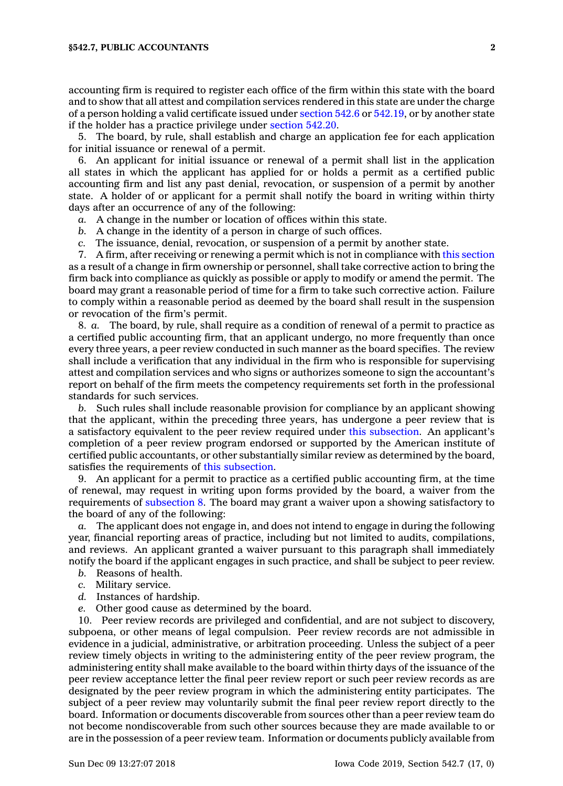accounting firm is required to register each office of the firm within this state with the board and to show that all attest and compilation services rendered in this state are under the charge of <sup>a</sup> person holding <sup>a</sup> valid certificate issued under [section](https://www.legis.iowa.gov/docs/code/542.6.pdf) 542.6 or [542.19](https://www.legis.iowa.gov/docs/code/542.19.pdf), or by another state if the holder has <sup>a</sup> practice privilege under [section](https://www.legis.iowa.gov/docs/code/542.20.pdf) 542.20.

5. The board, by rule, shall establish and charge an application fee for each application for initial issuance or renewal of <sup>a</sup> permit.

6. An applicant for initial issuance or renewal of <sup>a</sup> permit shall list in the application all states in which the applicant has applied for or holds <sup>a</sup> permit as <sup>a</sup> certified public accounting firm and list any past denial, revocation, or suspension of <sup>a</sup> permit by another state. A holder of or applicant for <sup>a</sup> permit shall notify the board in writing within thirty days after an occurrence of any of the following:

- *a.* A change in the number or location of offices within this state.
- *b.* A change in the identity of <sup>a</sup> person in charge of such offices.
- *c.* The issuance, denial, revocation, or suspension of <sup>a</sup> permit by another state.

7. A firm, after receiving or renewing <sup>a</sup> permit which is not in compliance with this [section](https://www.legis.iowa.gov/docs/code/542.7.pdf) as <sup>a</sup> result of <sup>a</sup> change in firm ownership or personnel, shall take corrective action to bring the firm back into compliance as quickly as possible or apply to modify or amend the permit. The board may grant <sup>a</sup> reasonable period of time for <sup>a</sup> firm to take such corrective action. Failure to comply within <sup>a</sup> reasonable period as deemed by the board shall result in the suspension or revocation of the firm's permit.

8. *a.* The board, by rule, shall require as <sup>a</sup> condition of renewal of <sup>a</sup> permit to practice as <sup>a</sup> certified public accounting firm, that an applicant undergo, no more frequently than once every three years, <sup>a</sup> peer review conducted in such manner as the board specifies. The review shall include <sup>a</sup> verification that any individual in the firm who is responsible for supervising attest and compilation services and who signs or authorizes someone to sign the accountant's report on behalf of the firm meets the competency requirements set forth in the professional standards for such services.

*b.* Such rules shall include reasonable provision for compliance by an applicant showing that the applicant, within the preceding three years, has undergone <sup>a</sup> peer review that is <sup>a</sup> satisfactory equivalent to the peer review required under this [subsection](https://www.legis.iowa.gov/docs/code/542.7.pdf). An applicant's completion of <sup>a</sup> peer review program endorsed or supported by the American institute of certified public accountants, or other substantially similar review as determined by the board, satisfies the requirements of this [subsection](https://www.legis.iowa.gov/docs/code/542.7.pdf).

9. An applicant for <sup>a</sup> permit to practice as <sup>a</sup> certified public accounting firm, at the time of renewal, may request in writing upon forms provided by the board, <sup>a</sup> waiver from the requirements of [subsection](https://www.legis.iowa.gov/docs/code/542.7.pdf) 8. The board may grant <sup>a</sup> waiver upon <sup>a</sup> showing satisfactory to the board of any of the following:

*a.* The applicant does not engage in, and does not intend to engage in during the following year, financial reporting areas of practice, including but not limited to audits, compilations, and reviews. An applicant granted <sup>a</sup> waiver pursuant to this paragraph shall immediately notify the board if the applicant engages in such practice, and shall be subject to peer review.

- *b.* Reasons of health.
- *c.* Military service.
- *d.* Instances of hardship.
- *e.* Other good cause as determined by the board.

10. Peer review records are privileged and confidential, and are not subject to discovery, subpoena, or other means of legal compulsion. Peer review records are not admissible in evidence in <sup>a</sup> judicial, administrative, or arbitration proceeding. Unless the subject of <sup>a</sup> peer review timely objects in writing to the administering entity of the peer review program, the administering entity shall make available to the board within thirty days of the issuance of the peer review acceptance letter the final peer review report or such peer review records as are designated by the peer review program in which the administering entity participates. The subject of <sup>a</sup> peer review may voluntarily submit the final peer review report directly to the board. Information or documents discoverable from sources other than <sup>a</sup> peer review team do not become nondiscoverable from such other sources because they are made available to or are in the possession of <sup>a</sup> peer review team. Information or documents publicly available from